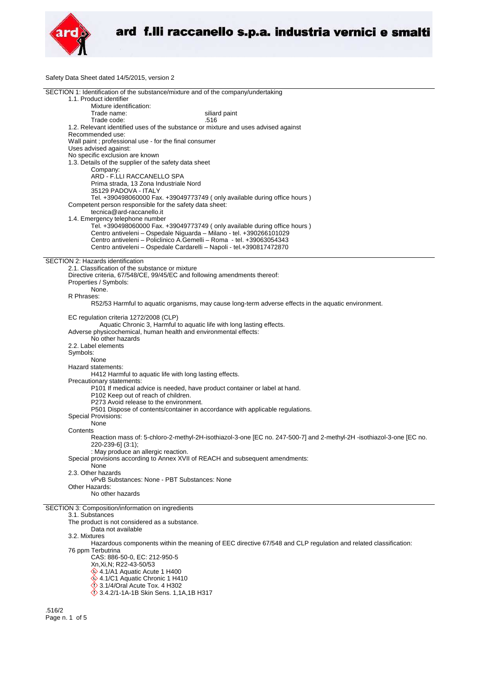

Safety Data Sheet dated 14/5/2015, version 2

| SECTION 1: Identification of the substance/mixture and of the company/undertaking                                   |
|---------------------------------------------------------------------------------------------------------------------|
| 1.1. Product identifier                                                                                             |
| Mixture identification:                                                                                             |
| Trade name:<br>siliard paint                                                                                        |
| Trade code:<br>.516                                                                                                 |
| 1.2. Relevant identified uses of the substance or mixture and uses advised against                                  |
| Recommended use:                                                                                                    |
| Wall paint ; professional use - for the final consumer                                                              |
|                                                                                                                     |
| Uses advised against:                                                                                               |
| No specific exclusion are known                                                                                     |
| 1.3. Details of the supplier of the safety data sheet                                                               |
| Company:                                                                                                            |
| ARD - F.LLI RACCANELLO SPA                                                                                          |
| Prima strada, 13 Zona Industriale Nord                                                                              |
| 35129 PADOVA - ITALY                                                                                                |
| Tel. +390498060000 Fax. +39049773749 (only available during office hours)                                           |
| Competent person responsible for the safety data sheet:                                                             |
| tecnica@ard-raccanello.it                                                                                           |
| 1.4. Emergency telephone number                                                                                     |
|                                                                                                                     |
| Tel. +390498060000 Fax. +39049773749 (only available during office hours)                                           |
| Centro antiveleni - Ospedale Niguarda - Milano - tel. +390266101029                                                 |
| Centro antiveleni – Policlinico A.Gemelli – Roma - tel. +39063054343                                                |
| Centro antiveleni - Ospedale Cardarelli - Napoli - tel.+390817472870                                                |
|                                                                                                                     |
| SECTION 2: Hazards identification                                                                                   |
| 2.1. Classification of the substance or mixture                                                                     |
| Directive criteria, 67/548/CE, 99/45/EC and following amendments thereof:                                           |
| Properties / Symbols:                                                                                               |
| None.                                                                                                               |
|                                                                                                                     |
| R Phrases:                                                                                                          |
| R52/53 Harmful to aquatic organisms, may cause long-term adverse effects in the aquatic environment.                |
|                                                                                                                     |
| EC regulation criteria 1272/2008 (CLP)                                                                              |
| Aquatic Chronic 3, Harmful to aquatic life with long lasting effects.                                               |
| Adverse physicochemical, human health and environmental effects:                                                    |
| No other hazards                                                                                                    |
| 2.2. Label elements                                                                                                 |
| Symbols:                                                                                                            |
|                                                                                                                     |
| None                                                                                                                |
| Hazard statements:                                                                                                  |
| H412 Harmful to aquatic life with long lasting effects.                                                             |
| Precautionary statements:                                                                                           |
| P101 If medical advice is needed, have product container or label at hand.                                          |
| P102 Keep out of reach of children.                                                                                 |
| P273 Avoid release to the environment.                                                                              |
| P501 Dispose of contents/container in accordance with applicable regulations.                                       |
| Special Provisions:                                                                                                 |
|                                                                                                                     |
| None                                                                                                                |
| Contents                                                                                                            |
| Reaction mass of: 5-chloro-2-methyl-2H-isothiazol-3-one [EC no. 247-500-7] and 2-methyl-2H-isothiazol-3-one [EC no. |
| 220-239-6] (3:1);                                                                                                   |
| : May produce an allergic reaction.                                                                                 |
| Special provisions according to Annex XVII of REACH and subsequent amendments:                                      |
| None                                                                                                                |
| 2.3. Other hazards                                                                                                  |
| vPvB Substances: None - PBT Substances: None                                                                        |
|                                                                                                                     |
| Other Hazards:                                                                                                      |
| No other hazards                                                                                                    |
|                                                                                                                     |
| SECTION 3: Composition/information on ingredients                                                                   |
| 3.1. Substances                                                                                                     |
| The product is not considered as a substance.                                                                       |
| Data not available                                                                                                  |
| 3.2. Mixtures                                                                                                       |
| Hazardous components within the meaning of EEC directive 67/548 and CLP regulation and related classification:      |
| 76 ppm Terbutrina                                                                                                   |
| CAS: 886-50-0, EC: 212-950-5                                                                                        |
|                                                                                                                     |
| Xn, Xi, N; R22-43-50/53                                                                                             |
| 4.1/A1 Aquatic Acute 1 H400                                                                                         |
| 4.1/C1 Aquatic Chronic 1 H410                                                                                       |
| $\diamond$ 3.1/4/Oral Acute Tox. 4 H302                                                                             |
| 3.4.2/1-1A-1B Skin Sens. 1,1A,1B H317                                                                               |
|                                                                                                                     |
| FAP/2                                                                                                               |

.516/2 Page n. 1 of 5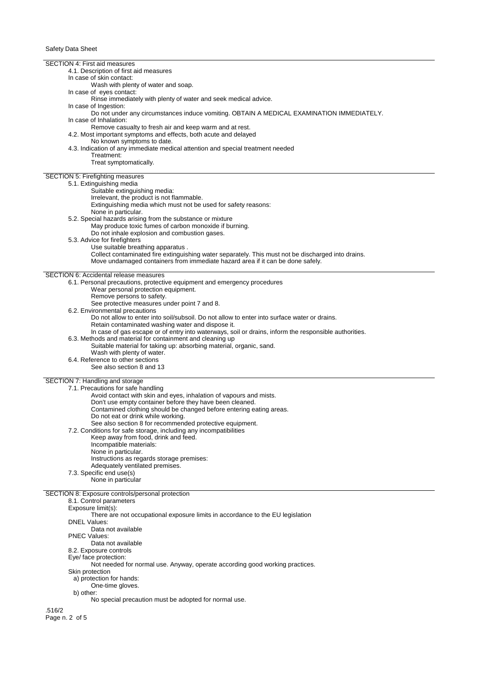SECTION 4: First aid measures 4.1. Description of first aid measures In case of skin contact: Wash with plenty of water and soap. In case of eyes contact: Rinse immediately with plenty of water and seek medical advice. In case of Ingestion: Do not under any circumstances induce vomiting. OBTAIN A MEDICAL EXAMINATION IMMEDIATELY. In case of Inhalation: Remove casualty to fresh air and keep warm and at rest. 4.2. Most important symptoms and effects, both acute and delayed No known symptoms to date. 4.3. Indication of any immediate medical attention and special treatment needed Treatment: Treat symptomatically. SECTION 5: Firefighting measures 5.1. Extinguishing media Suitable extinguishing media: Irrelevant, the product is not flammable. Extinguishing media which must not be used for safety reasons: None in particular. 5.2. Special hazards arising from the substance or mixture May produce toxic fumes of carbon monoxide if burning. Do not inhale explosion and combustion gases. 5.3. Advice for firefighters Use suitable breathing apparatus . Collect contaminated fire extinguishing water separately. This must not be discharged into drains. Move undamaged containers from immediate hazard area if it can be done safely. SECTION 6: Accidental release measures 6.1. Personal precautions, protective equipment and emergency procedures Wear personal protection equipment. Remove persons to safety. See protective measures under point 7 and 8. 6.2. Environmental precautions Do not allow to enter into soil/subsoil. Do not allow to enter into surface water or drains. Retain contaminated washing water and dispose it. In case of gas escape or of entry into waterways, soil or drains, inform the responsible authorities. 6.3. Methods and material for containment and cleaning up Suitable material for taking up: absorbing material, organic, sand. Wash with plenty of water. 6.4. Reference to other sections See also section 8 and 13 SECTION 7: Handling and storage 7.1. Precautions for safe handling Avoid contact with skin and eyes, inhalation of vapours and mists. Don't use empty container before they have been cleaned. Contamined clothing should be changed before entering eating areas. Do not eat or drink while working. See also section 8 for recommended protective equipment. 7.2. Conditions for safe storage, including any incompatibilities Keep away from food, drink and feed. Incompatible materials: None in particular. Instructions as regards storage premises: Adequately ventilated premises. 7.3. Specific end use(s) None in particular SECTION 8: Exposure controls/personal protection 8.1. Control parameters Exposure limit(s): There are not occupational exposure limits in accordance to the EU legislation DNEL Values: Data not available PNEC Values: Data not available 8.2. Exposure controls Eye/ face protection: Not needed for normal use. Anyway, operate according good working practices. Skin protection a) protection for hands: One-time gloves. b) other: No special precaution must be adopted for normal use. .516/2 Page n. 2 of 5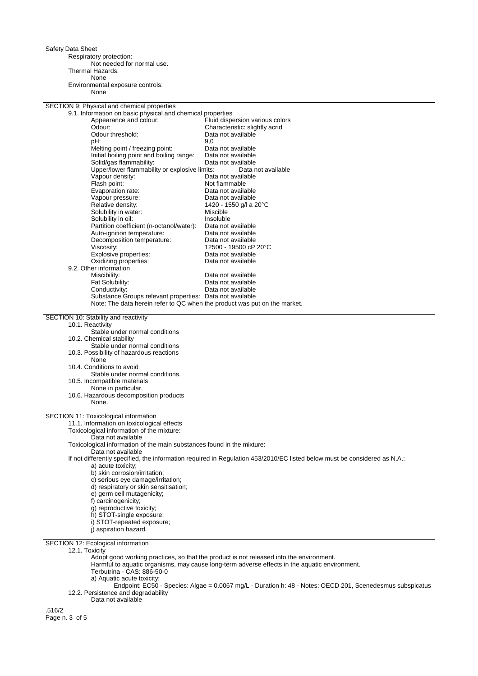Safety Data Sheet

Respiratory protection: Not needed for normal use. Thermal Hazards: None Environmental exposure controls: None

SECTION 9: Physical and chemical properties

| 9.1. Information on basic physical and chemical properties                |                                 |
|---------------------------------------------------------------------------|---------------------------------|
| Appearance and colour:                                                    | Fluid dispersion various colors |
| Odour:                                                                    | Characteristic: slightly acrid  |
| Odour threshold:                                                          | Data not available              |
| pH:                                                                       | 9,0                             |
| Melting point / freezing point:                                           | Data not available              |
| Initial boiling point and boiling range:                                  | Data not available              |
| Solid/gas flammability:                                                   | Data not available              |
| Upper/lower flammability or explosive limits:                             | Data not available              |
| Vapour density:                                                           | Data not available              |
| Flash point:                                                              | Not flammable                   |
| Evaporation rate:                                                         | Data not available              |
| Vapour pressure:                                                          | Data not available              |
| Relative density:                                                         | 1420 - 1550 g/l a 20°C          |
| Solubility in water:                                                      | Miscible                        |
| Solubility in oil:                                                        | Insoluble                       |
| Partition coefficient (n-octanol/water):                                  | Data not available              |
| Auto-ignition temperature:                                                | Data not available              |
| Decomposition temperature:                                                | Data not available              |
| Viscosity:                                                                | 12500 - 19500 cP 20°C           |
| Explosive properties:                                                     | Data not available              |
| Oxidizing properties:                                                     | Data not available              |
| 9.2. Other information                                                    |                                 |
| Miscibility:                                                              | Data not available              |
| Fat Solubility:                                                           | Data not available              |
| Conductivity:                                                             | Data not available              |
| Substance Groups relevant properties: Data not available                  |                                 |
| Note: The data herein refer to QC when the product was put on the market. |                                 |
|                                                                           |                                 |
| SECTION 10: Stability and reactivity                                      |                                 |
| 10.1. Reactivity                                                          |                                 |
| Stable under normal conditions                                            |                                 |
| 10.2. Chemical stability                                                  |                                 |
| Stable under normal conditions                                            |                                 |
| 10.3. Possibility of hazardous reactions                                  |                                 |
| None                                                                      |                                 |
| 10.4. Conditions to avoid                                                 |                                 |
| Stable under normal conditions.                                           |                                 |
| 10.5. Incompatible materials                                              |                                 |
| None in particular.                                                       |                                 |
| 10.6. Hazardous decomposition products                                    |                                 |
| None.                                                                     |                                 |
|                                                                           |                                 |
| SECTION 11: Toxicological information                                     |                                 |

11.1. Information on toxicological effects

Toxicological information of the mixture:

Data not available

Toxicological information of the main substances found in the mixture:

Data not available

If not differently specified, the information required in Regulation 453/2010/EC listed below must be considered as N.A.: a) acute toxicity;

- b) skin corrosion/irritation;
- c) serious eye damage/irritation;
- d) respiratory or skin sensitisation;
- e) germ cell mutagenicity;
- f) carcinogenicity;
- 
- g) reproductive toxicity;
- h) STOT-single exposure;
- i) STOT-repeated exposure;
- j) aspiration hazard.

SECTION 12: Ecological information

12.1. Toxicity

Adopt good working practices, so that the product is not released into the environment.

Harmful to aquatic organisms, may cause long-term adverse effects in the aquatic environment.

Terbutrina - CAS: 886-50-0

a) Aquatic acute toxicity:

Endpoint: EC50 - Species: Algae = 0.0067 mg/L - Duration h: 48 - Notes: OECD 201, Scenedesmus subspicatus 12.2. Persistence and degradability

Data not available

.516/2 Page n. 3 of 5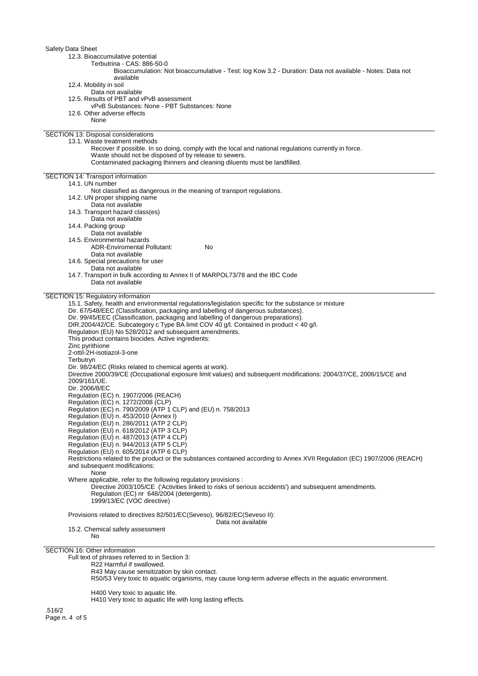| Safety Data Sheet                                                                                                                                             |
|---------------------------------------------------------------------------------------------------------------------------------------------------------------|
| 12.3. Bioaccumulative potential                                                                                                                               |
| Terbutrina - CAS: 886-50-0                                                                                                                                    |
| Bioaccumulation: Not bioaccumulative - Test: log Kow 3.2 - Duration: Data not available - Notes: Data not<br>available                                        |
| 12.4. Mobility in soil                                                                                                                                        |
| Data not available                                                                                                                                            |
| 12.5. Results of PBT and vPvB assessment                                                                                                                      |
| vPvB Substances: None - PBT Substances: None                                                                                                                  |
| 12.6. Other adverse effects<br>None                                                                                                                           |
|                                                                                                                                                               |
| SECTION 13: Disposal considerations                                                                                                                           |
| 13.1. Waste treatment methods                                                                                                                                 |
| Recover if possible. In so doing, comply with the local and national regulations currently in force.<br>Waste should not be disposed of by release to sewers. |
| Contaminated packaging thinners and cleaning diluents must be landfilled.                                                                                     |
|                                                                                                                                                               |
| SECTION 14: Transport information                                                                                                                             |
| 14.1. UN number<br>Not classified as dangerous in the meaning of transport regulations.                                                                       |
| 14.2. UN proper shipping name                                                                                                                                 |
| Data not available                                                                                                                                            |
| 14.3. Transport hazard class(es)                                                                                                                              |
| Data not available                                                                                                                                            |
| 14.4. Packing group<br>Data not available                                                                                                                     |
| 14.5. Environmental hazards                                                                                                                                   |
| <b>ADR-Enviromental Pollutant:</b><br><b>No</b>                                                                                                               |
| Data not available                                                                                                                                            |
| 14.6. Special precautions for user                                                                                                                            |
| Data not available<br>14.7. Transport in bulk according to Annex II of MARPOL73/78 and the IBC Code                                                           |
| Data not available                                                                                                                                            |
|                                                                                                                                                               |
| SECTION 15: Regulatory information<br>15.1. Safety, health and environmental regulations/legislation specific for the substance or mixture                    |
| Dir. 67/548/EEC (Classification, packaging and labelling of dangerous substances).                                                                            |
| Dir. 99/45/EEC (Classification, packaging and labelling of dangerous preparations).                                                                           |
| DIR.2004/42/CE. Subcategory c Type BA limit COV 40 g/l. Contained in product < 40 g/l.                                                                        |
| Regulation (EU) No 528/2012 and subsequent amendments.                                                                                                        |
| This product contains biocides. Active ingredients:<br>Zinc pyrithione                                                                                        |
| 2-ottil-2H-isotiazol-3-one                                                                                                                                    |
| Terbutryn                                                                                                                                                     |
| Dir. 98/24/EC (Risks related to chemical agents at work).                                                                                                     |
| Directive 2000/39/CE (Occupational exposure limit values) and subsequent modifications: 2004/37/CE, 2006/15/CE and<br>2009/161/UE.                            |
| Dir. 2006/8/EC                                                                                                                                                |
| Regulation (EC) n. 1907/2006 (REACH)                                                                                                                          |
| Regulation (EC) n. 1272/2008 (CLP)                                                                                                                            |
| Regulation (EC) n. 790/2009 (ATP 1 CLP) and (EU) n. 758/2013                                                                                                  |
| Regulation (EU) n. 453/2010 (Annex I)<br>Regulation (EU) n. 286/2011 (ATP 2 CLP)                                                                              |
| Regulation (EU) n. 618/2012 (ATP 3 CLP)                                                                                                                       |
| Regulation (EU) n. 487/2013 (ATP 4 CLP)                                                                                                                       |
| Regulation (EU) n. 944/2013 (ATP 5 CLP)                                                                                                                       |
| Regulation (EU) n. 605/2014 (ATP 6 CLP)                                                                                                                       |
| Restrictions related to the product or the substances contained according to Annex XVII Regulation (EC) 1907/2006 (REACH)<br>and subsequent modifications:    |
| None                                                                                                                                                          |
| Where applicable, refer to the following regulatory provisions :                                                                                              |
| Directive 2003/105/CE ('Activities linked to risks of serious accidents') and subsequent amendments.                                                          |
| Regulation (EC) nr 648/2004 (detergents).<br>1999/13/EC (VOC directive)                                                                                       |
|                                                                                                                                                               |
| Provisions related to directives 82/501/EC(Seveso), 96/82/EC(Seveso II):                                                                                      |
| Data not available                                                                                                                                            |
| 15.2. Chemical safety assessment<br>No                                                                                                                        |
|                                                                                                                                                               |
| SECTION 16: Other information                                                                                                                                 |
| Full text of phrases referred to in Section 3:                                                                                                                |
| R22 Harmful if swallowed.                                                                                                                                     |
| R43 May cause sensitization by skin contact.<br>R50/53 Very toxic to aquatic organisms, may cause long-term adverse effects in the aquatic environment.       |
|                                                                                                                                                               |
| H400 Very toxic to aquatic life.                                                                                                                              |

H410 Very toxic to aquatic life with long lasting effects.

.516/2 Page n. 4 of 5